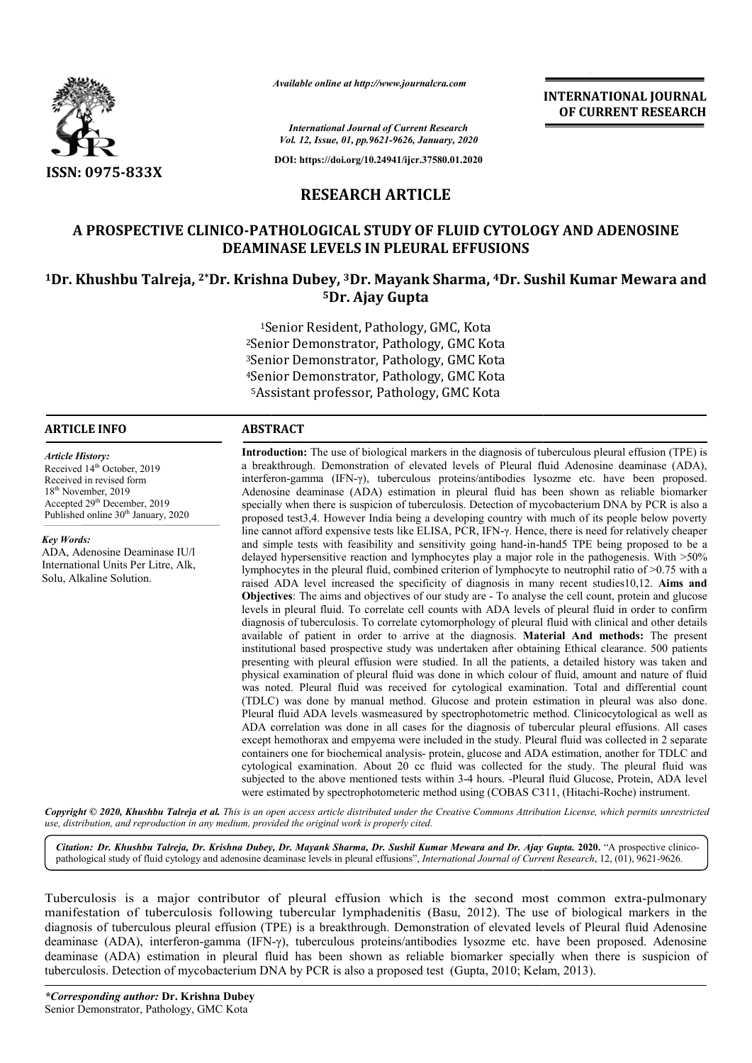

*Available online at http://www.journalcra.com*

**INTERNATIONAL JOURNAL OF CURRENT RESEARCH**

*International Journal of Current Research Vol. 12, Issue, 01, pp.9621-9626, January, 2020*

**DOI: https://doi.org/10.24941/ijcr.37580.01.2020**

### **RESEARCH ARTICLE**

## **A PROSPECTIVE CLINICO-PATHOLOGICAL STUDY OF FLUID CYTOLOGY AND ADENOSINE DEAMINASE LEVELS IN PLEURAL EFFUSIONS** A PROSPECTIVE CLINICO-PATHOLOGICAL STUDY OF FLUID CYTOLOGY AND ADENOSINE<br>DEAMINASE LEVELS IN PLEURAL EFFUSIONS<br><sup>1</sup>Dr. Khushbu Talreja, <sup>2\*</sup>Dr. Krishna Dubey, <sup>3</sup>Dr. Mayank Sharma, <sup>4</sup>Dr. Sushil Kumar Mewara and

# **5Dr. Ajay Gupta**

1Senior Resident, Pathology, GMC, Kota 2Senior Demonstrator, Pathology, GMC Kota 3Senior Demonstrator, Pathology, GMC Kota 4Senior Demonstrator, Pathology, GMC Kota <sup>1</sup>Senior Resident, Pathology, GMC, Kota<br>Senior Demonstrator, Pathology, GMC Kot<br>Senior Demonstrator, Pathology, GMC Kot<br>Senior Demonstrator, Pathology, GMC Kota<br><sup>5</sup>Assistant professor, Pathology, GMC Kota

#### **ARTICLE INFO ABSTRACT**

Received 14<sup>th</sup> October, 2019 Received in revised form 18<sup>th</sup> November, 2019 Accepted 29<sup>th</sup> December, 2019 Published online 30<sup>th</sup> January, 2020

ADA, Adenosine Deaminase IU/l International Units Per Litre, Alk,

Solu, Alkaline Solution.

*Article History:*

*Key Words:*

**Introduction:**  The use of biological markers in the diagnosis of tuberculous pleural effusion (TPE) is a breakthrough. Demonstration of elevated levels of Pleural fluid Adenosine deaminase (ADA), interferon interferon-gamma (IFN-γ), tuberculous proteins/antibodies lysozme etc. have been proposed. Adenosine deaminase (ADA) estimation in pleural fluid has been shown as reliable biomarker Introduction: The use of biological markers in the diagnosis of tuberculous pleural effusion (TPE) is<br>a breakthrough. Demonstration of elevated levels of Pleural fluid Adenosine deaminase (ADA),<br>interferon-gamma (IFN-γ), proposed test3,4. However India being a developing country with much of its people below poverty line cannot afford expensive tests like ELISA, PCR, IFN- $\gamma$ . Hence, there is need for relatively cheaper and simple tests with feasibil feasibility and sensitivity going hand-in-hand5 TPE being proposed to be a delayed hypersensitive reaction and lymphocytes play a major role in the pathogenesis. With >50% lymphocytes in the pleural fluid, combined criterion of lymphocyte to neutrophil ratio of  $>0.75$  with a raised ADA level increased the specificity of diagnosis in many recent studies10,12. Aims and **Objectives** : The aims and objectives of our study are - To analyse the cell count, protein and glucose levels in pleural fluid. To correlate cell counts with ADA levels of pleural fluid in order to confirm Objectives: The aims and objectives of our study are - To analyse the cell count, protein and glucose levels in pleural fluid. To correlate cell counts with ADA levels of pleural fluid in order to confirm diagnosis of tube available of patient in order to arrive at the diagnosis. **Material And methods:** The present institutional based prospective study was undertaken after obtaining Ethical clearance. 500 patients presenting with pleural effusion were studied. In all the patients, a detailed history was taken and physical examination of pleural fluid was done in which colo was noted. Pleural fluid was received for cytological examination. Total and differential count (TDLC) was done by manual method. Glucose and protein estimation in pleural was also done. Pleural fluid ADA levels wasmeasured by spectrophotometric method. Clinicocytological as well as ADA correlation was done in all cases for the diagnosis of tubercular pleural effusions. All cases except hemothorax and empyema were included in the study. Pleural fluid was collected in 2 separate containers one for biochemical analysis- protein, glucose and ADA estimation, another for TDLC and cytological examination. About 20 cc fluid was collected for the study. The pleural fluid was subjected to the above mentioned tests within 3 3-4 hours. -Pleural fluid Glucose, Protein, ADA level were estimated by spectrophotometeric method using (COBAS C311, (Hitachi-Roche) instrument. institutional based prospective study was undertaken after obtaining Ethical clearance. 500 patients<br>presenting with pleural effusion were studied. In all the patients, a detailed history was taken and<br>physical examination proposed test3,4. However India being a developing country with much of its people below poverty<br>line cannot afford expensive tests like ELISA, PCR, IFN-γ. Hence, there is need for relatively cheaper<br>and simple tests with cytological examination. About 20 cc fluid was collected for the study. The pleural fluid was subjected to the above mentioned tests within 3-4 hours. -Pleural fluid Glucose, Protein, ADA level were estimated by spectropho

Copyright © 2020, Khushbu Talreja et al. This is an open access article distributed under the Creative Commons Attribution License, which permits unrestrictea *use, distribution, and reproduction in any medium, provided the original work is properly cited.*

Citation: Dr. Khushbu Talreja, Dr. Krishna Dubey, Dr. Mayank Sharma, Dr. Sushil Kumar Mewara and Dr. Ajay Gupta. 2020. "A prospective clinicopathological study of fluid cytology and adenosine deaminase levels in pleural effusions", *International Journal of Current Research*, 12, (01), 9621-9626.

Tuberculosis is a major contributor of pleural effusion which is the second most common extra-pulmonary manifestation of tuberculosis following tubercular lymphadenitis (Basu, 2012). The use of biological markers in the diagnosis of tuberculous pleural effusion (TPE) is a breakthrough. Demonstration of elevated levels of Pleural fluid Adenosine deaminase (ADA), interferon-gamma (IFN- $\gamma$ ), tuberculous proteins/antibodies lysozme etc. have been proposed. Adenosine deaminase (ADA) estimation in pleural fluid has been shown as reliable biomarker specially when there is suspicion of<br>tuberculosis. Detection of mycobacterium DNA by PCR is also a proposed test (Gupta, 2010; Kelam, 2013). tuberculosis. Detection of mycobacterium DNA by PCR is also a proposed test (Gupta, 2010; Kelam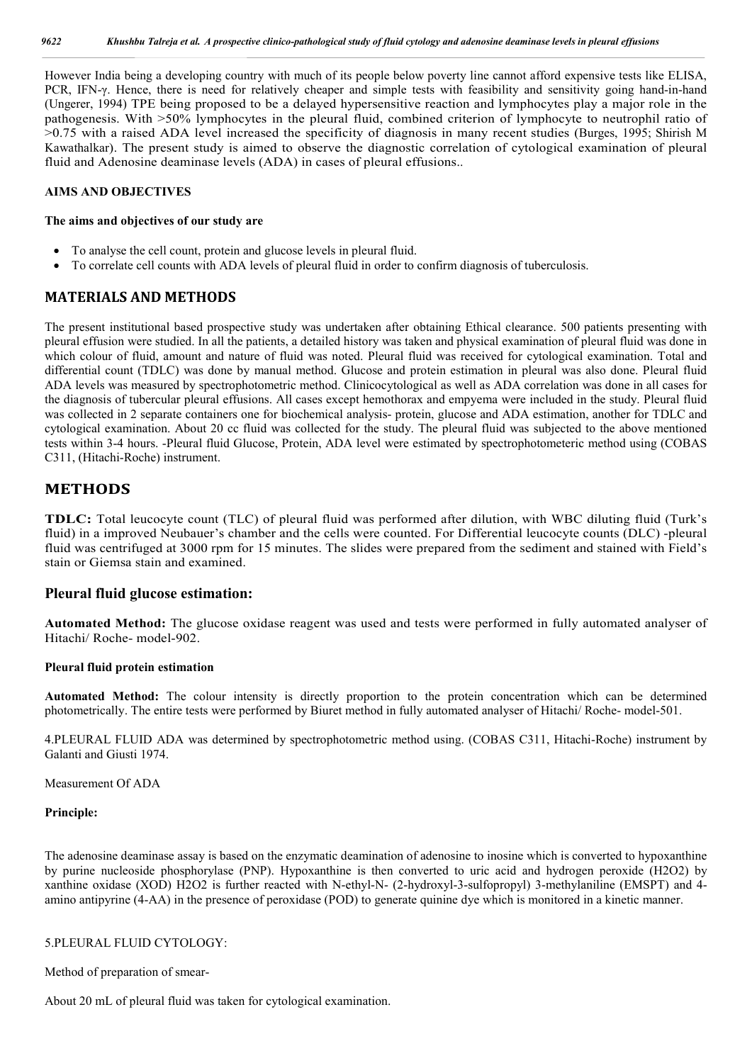However India being a developing country with much of its people below poverty line cannot afford expensive tests like ELISA, PCR, IFN-γ. Hence, there is need for relatively cheaper and simple tests with feasibility and sensitivity going hand-in-hand (Ungerer, 1994) TPE being proposed to be a delayed hypersensitive reaction and lymphocytes play a major role in the pathogenesis. With >50% lymphocytes in the pleural fluid, combined criterion of lymphocyte to neutrophil ratio of >0.75 with a raised ADA level increased the specificity of diagnosis in many recent studies (Burges, 1995; Shirish M Kawathalkar). The present study is aimed to observe the diagnostic correlation of cytological examination of pleural fluid and Adenosine deaminase levels (ADA) in cases of pleural effusions..

#### **AIMS AND OBJECTIVES**

#### **The aims and objectives of our study are**

- To analyse the cell count, protein and glucose levels in pleural fluid.
- To correlate cell counts with ADA levels of pleural fluid in order to confirm diagnosis of tuberculosis.

#### **MATERIALS AND METHODS**

The present institutional based prospective study was undertaken after obtaining Ethical clearance. 500 patients presenting with pleural effusion were studied. In all the patients, a detailed history was taken and physical examination of pleural fluid was done in which colour of fluid, amount and nature of fluid was noted. Pleural fluid was received for cytological examination. Total and differential count (TDLC) was done by manual method. Glucose and protein estimation in pleural was also done. Pleural fluid ADA levels was measured by spectrophotometric method. Clinicocytological as well as ADA correlation was done in all cases for the diagnosis of tubercular pleural effusions. All cases except hemothorax and empyema were included in the study. Pleural fluid was collected in 2 separate containers one for biochemical analysis- protein, glucose and ADA estimation, another for TDLC and cytological examination. About 20 cc fluid was collected for the study. The pleural fluid was subjected to the above mentioned tests within 3-4 hours. -Pleural fluid Glucose, Protein, ADA level were estimated by spectrophotometeric method using (COBAS C311, (Hitachi-Roche) instrument.

#### **METHODS**

**TDLC:** Total leucocyte count (TLC) of pleural fluid was performed after dilution, with WBC diluting fluid (Turk's fluid) in a improved Neubauer's chamber and the cells were counted. For Differential leucocyte counts (DLC) -pleural fluid was centrifuged at 3000 rpm for 15 minutes. The slides were prepared from the sediment and stained with Field's stain or Giemsa stain and examined.

#### **Pleural fluid glucose estimation:**

**Automated Method:** The glucose oxidase reagent was used and tests were performed in fully automated analyser of Hitachi/ Roche- model-902.

#### **Pleural fluid protein estimation**

**Automated Method:** The colour intensity is directly proportion to the protein concentration which can be determined photometrically. The entire tests were performed by Biuret method in fully automated analyser of Hitachi/ Roche- model-501.

4.PLEURAL FLUID ADA was determined by spectrophotometric method using. (COBAS C311, Hitachi-Roche) instrument by Galanti and Giusti 1974.

Measurement Of ADA

#### **Principle:**

The adenosine deaminase assay is based on the enzymatic deamination of adenosine to inosine which is converted to hypoxanthine by purine nucleoside phosphorylase (PNP). Hypoxanthine is then converted to uric acid and hydrogen peroxide (H2O2) by xanthine oxidase (XOD) H2O2 is further reacted with N-ethyl-N- (2-hydroxyl-3-sulfopropyl) 3-methylaniline (EMSPT) and 4 amino antipyrine (4-AA) in the presence of peroxidase (POD) to generate quinine dye which is monitored in a kinetic manner.

#### 5.PLEURAL FLUID CYTOLOGY:

Method of preparation of smear-

About 20 mL of pleural fluid was taken for cytological examination.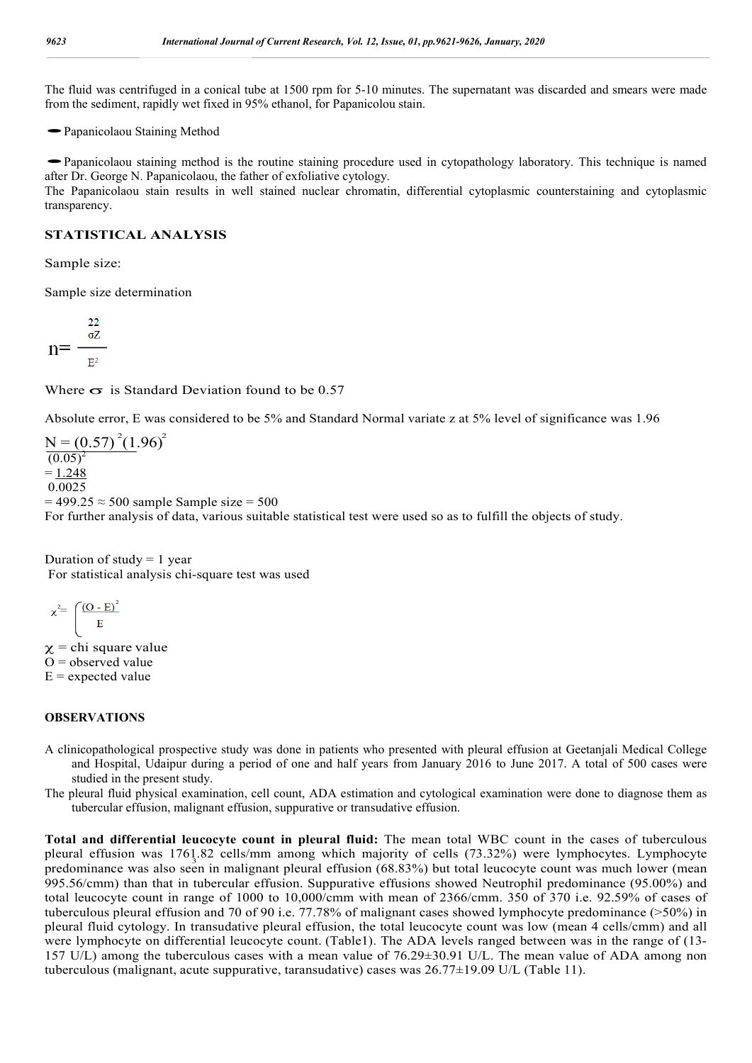The fluid was centrifuged in a conical tube at 1500 rpm for 5-10 minutes. The supernatant was discarded and smears were made from the sediment, rapidly wet fixed in 95% ethanol, for Papanicolou stain.<br>
• Papanicolaou Staining Method

• Papanicolaou Staining Method<br>• Papanicolaou staining method is the routine staining procedure used in cytopathology laboratory. This technique is named after Dr. George N. Papanicolaou, the father of exfoliative cytology.

The Papanicolaou stain results in well stained nuclear chromatin, differential cytoplasmic counterstaining and cytoplasmic transparency.

#### **STATISTICAL ANALYSIS**

Sample size:

Sample size determination

$$
n{=}\frac{\frac{22}{\sigma Z}}{E^2}
$$

Where  $\sigma$  is Standard Deviation found to be 0.57

Absolute error, E was considered to be 5% and Standard Normal variate z at 5% level of significance was 1.96

 $N = (0.57)^{2}(1.96)^{2}$  $(0.05)^2$  $= 1.248$ 0.0025  $= 499.25 \approx 500$  sample Sample size = 500 For further analysis of data, various suitable statistical test were used so as to fulfill the objects of study.

Duration of study  $= 1$  year For statistical analysis chi-square test was used

$$
\chi^2 = \left(\frac{(O - E)^2}{E}\right)
$$

 $x =$ chi square value  $O =$  observed value  $E$  = expected value

#### **OBSERVATIONS**

- A clinicopathological prospective study was done in patients who presented with pleural effusion at Geetanjali Medical College and Hospital, Udaipur during a period of one and half years from January 2016 to June 2017. A total of 500 cases were studied in the present study.
- The pleural fluid physical examination, cell count, ADA estimation and cytological examination were done to diagnose them as tubercular effusion, malignant effusion, suppurative or transudative effusion.

predominance was also seen in malignant pleural effusion (68.83%) but total leucocyte count was much lower (mean<br>predominance was also seen in malignant pleural effusion (68.83%) but total leucocyte count was much lower (m **Total and differential leucocyte count in pleural fluid:** The mean total WBC count in the cases of tuberculous pleural effusion was 1761.82 cells/mm among which majority of cells (73.32%) were lymphocytes. Lymphocyte 995.56/cmm) than that in tubercular effusion. Suppurative effusions showed Neutrophil predominance (95.00%) and total leucocyte count in range of 1000 to 10,000/cmm with mean of 2366/cmm. 350 of 370 i.e. 92.59% of cases of tuberculous pleural effusion and 70 of 90 i.e. 77.78% of malignant cases showed lymphocyte predominance (>50%) in pleural fluid cytology. In transudative pleural effusion, the total leucocyte count was low (mean 4 cells/cmm) and all were lymphocyte on differential leucocyte count. (Table1). The ADA levels ranged between was in the range of (13- 157 U/L) among the tuberculous cases with a mean value of 76.29±30.91 U/L. The mean value of ADA among non tuberculous (malignant, acute suppurative, taransudative) cases was 26.77±19.09 U/L (Table 11).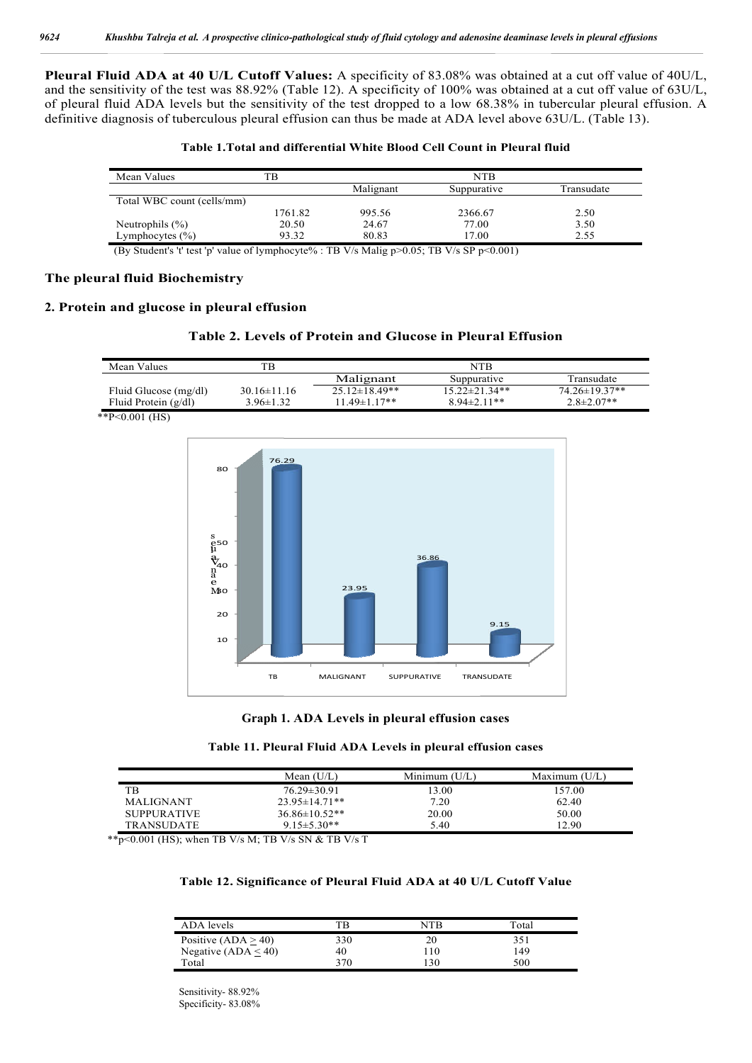**Pleural Fluid ADA at 40 U/L Cutoff Values:** A specificity of 83.08% was obtained at a cut off value of 40U/L, and the sensitivity of the test was 88.92% (Table 12). A specificity of 100% was obtained at a cut off value of 63U/L, of pleural fluid ADA levels but the sensitivity of the test dropped to a low 68.38% in tubercular pleural effusion. A definitive diagnosis of tuberculous pleural effusion can thus be made at ADA level above 63U/L. (Table 13).

| Mean Values                | ГB      |           | NTB         |            |
|----------------------------|---------|-----------|-------------|------------|
|                            |         | Malignant | Suppurative | Transudate |
| Total WBC count (cells/mm) |         |           |             |            |
|                            | 1761.82 | 995.56    | 2366.67     | 2.50       |
| Neutrophils $(\% )$        | 20.50   | 24.67     | 77.00       | 3.50       |
| Lymphocytes $(\% )$        | 93.32   | 80.83     | 17.00       | 2.55       |

(By Student's 't' test 'p' value of lymphocyte% : TB V/s Malig p>0.05; TB V/s SP p<0.001)

#### **The pleural fluid Biochemistry**

#### **2. Protein and glucose in pleural effusion**

#### **Table 2. Levels of Protein and Glucose in Pleural Effusion**

| Mean Values            | TB.             |                     | NTR                  |                   |
|------------------------|-----------------|---------------------|----------------------|-------------------|
|                        |                 | Malignant           | Suppurative          | Transudate        |
| Fluid Glucose (mg/dl)  | $30.16\pm11.16$ | $25.12 \pm 18.49**$ | $15.22 \pm 21.34$ ** | 74.26±19.37**     |
| Fluid Protein $(g/dl)$ | $3.96 \pm 1.32$ | $11.49 \pm 1.17**$  | $8.94 \pm 2.11$ **   | $2.8 \pm 2.07$ ** |
| ** $P<0.001$ (HS)      |                 |                     |                      |                   |





| Table 11. Pleural Fluid ADA Levels in pleural effusion cases |  |  |  |  |  |
|--------------------------------------------------------------|--|--|--|--|--|
|--------------------------------------------------------------|--|--|--|--|--|

|                    | Mean $(U/L)$        | Minimum $(U/L)$ | Maximum $(U/L)$ |
|--------------------|---------------------|-----------------|-----------------|
| TB                 | $76.29 \pm 30.91$   | 13.00           | 157.00          |
| <b>MALIGNANT</b>   | $23.95 \pm 14.71**$ | 7.20            | 62.40           |
| <b>SUPPURATIVE</b> | $36.86 \pm 10.52**$ | 20.00           | 50.00           |
| <b>TRANSUDATE</b>  | $9.15 \pm 5.30**$   | 5.40            | 12.90           |

\*\*p<0.001 (HS); when TB V/s M; TB V/s SN & TB V/s T

#### **Table 12. Significance of Pleural Fluid ADA at 40 U/L Cutoff Value**

| ADA levels            | TR  | NTR | Total |
|-----------------------|-----|-----|-------|
| Positive $(ADA > 40)$ | 330 |     | 351   |
| Negative $(ADA < 40)$ | 40  | -10 | 149   |
| Total                 | 370 | 130 | 500   |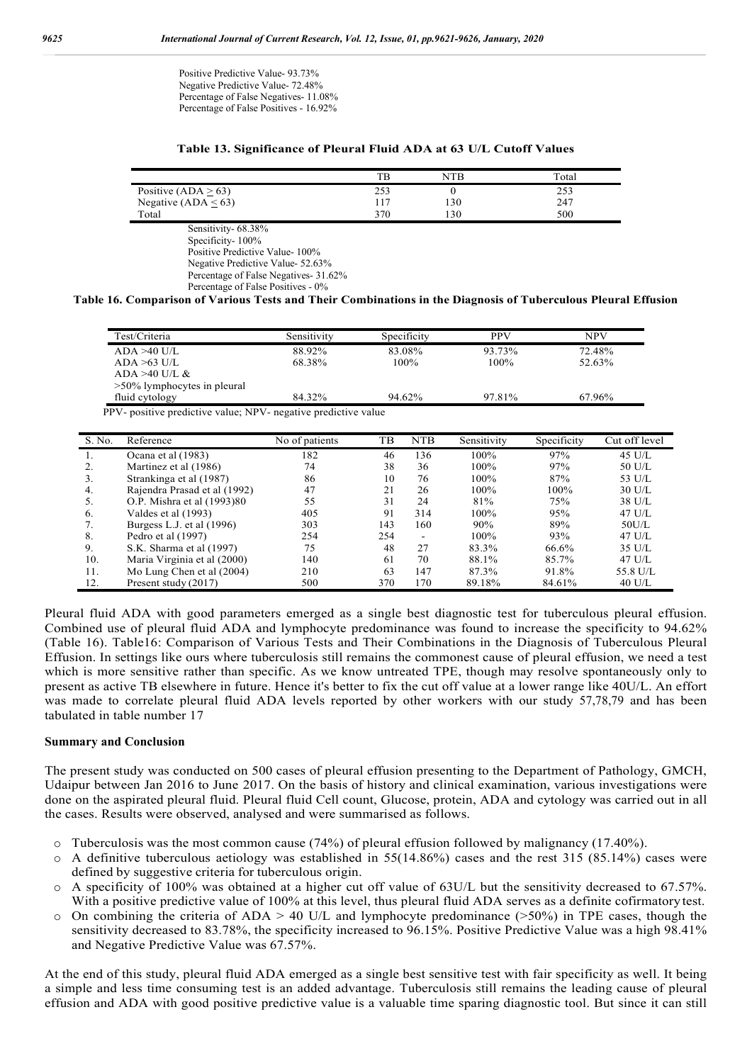Positive Predictive Value- 93.73% Negative Predictive Value- 72.48% Percentage of False Negatives- 11.08% Percentage of False Positives - 16.92%

#### **Table 13. Significance of Pleural Fluid ADA at 63 U/L Cutoff Values**

|                           | тF  | NTR  | Total |
|---------------------------|-----|------|-------|
| Positive (ADA $\geq$ 63)  | 253 |      | دد∠   |
| Negative (ADA $\leq 63$ ) | 117 | l 30 | 247   |
| Total                     | 370 | .30  | 500   |

Sensitivity- 68.38% Specificity- 100% Positive Predictive Value- 100% Negative Predictive Value- 52.63% Percentage of False Negatives- 31.62% Percentage of False Positives - 0%

#### **Table 16. Comparison of Various Tests and Their Combinations in the Diagnosis of Tuberculous Pleural Effusion**

| Test/Criteria                  | Sensitivity | Specificity | <b>PPV</b> | NPV    |
|--------------------------------|-------------|-------------|------------|--------|
| $ADA > 40$ U/L                 | 88.92%      | 83.08%      | 93.73%     | 72.48% |
| $ADA > 63$ U/L                 | 68.38%      | $100\%$     | $100\%$    | 52.63% |
| ADA $>40$ U/L &                |             |             |            |        |
| $>50\%$ lymphocytes in pleural |             |             |            |        |
| fluid cytology                 | 84.32%      | 94.62%      | 97.81%     | 67.96% |

PPV- positive predictive value; NPV- negative predictive value

| S. No. | Reference                    | No of patients | TВ  | <b>NTB</b> | Sensitivity | Specificity | Cut off level    |
|--------|------------------------------|----------------|-----|------------|-------------|-------------|------------------|
|        | Ocana et al (1983)           | 182            | 46  | 136        | 100%        | 97%         | 45 U/L           |
| 2.     | Martinez et al (1986)        | 74             | 38  | 36         | 100%        | 97%         | 50 U/L           |
| 3.     | Strankinga et al (1987)      | 86             | 10  | 76         | 100%        | 87%         | 53 U/L           |
| 4.     | Rajendra Prasad et al (1992) | 47             | 21  | 26         | 100%        | 100%        | $30$ U/L         |
| 5.     | O.P. Mishra et al (1993)80   | 55             | 31  | 24         | 81%         | 75%         | 38 U/L           |
| 6.     | Valdes et al (1993)          | 405            | 91  | 314        | 100%        | 95%         | $47$ U/L         |
| 7.     | Burgess L.J. et al $(1996)$  | 303            | 143 | 160        | 90%         | 89%         | 50U/L            |
| 8.     | Pedro et al $(1997)$         | 254            | 254 | <b>.</b>   | 100%        | 93%         | $47$ U/L         |
| 9.     | S.K. Sharma et al (1997)     | 75             | 48  | 27         | 83.3%       | 66.6%       | $35 \text{ U/L}$ |
| 10.    | Maria Virginia et al (2000)  | 140            | 61  | 70         | 88.1%       | 85.7%       | $47$ U/L         |
| 11.    | Mo Lung Chen et al (2004)    | 210            | 63  | 147        | 87.3%       | 91.8%       | 55.8 U/L         |
| 12.    | Present study (2017)         | 500            | 370 | 170        | 89.18%      | 84.61%      | $40$ U/L         |

Pleural fluid ADA with good parameters emerged as a single best diagnostic test for tuberculous pleural effusion. Combined use of pleural fluid ADA and lymphocyte predominance was found to increase the specificity to 94.62% (Table 16). Table16: Comparison of Various Tests and Their Combinations in the Diagnosis of Tuberculous Pleural Effusion. In settings like ours where tuberculosis still remains the commonest cause of pleural effusion, we need a test which is more sensitive rather than specific. As we know untreated TPE, though may resolve spontaneously only to present as active TB elsewhere in future. Hence it's better to fix the cut off value at a lower range like 40U/L. An effort was made to correlate pleural fluid ADA levels reported by other workers with our study 57,78,79 and has been tabulated in table number 17

#### **Summary and Conclusion**

The present study was conducted on 500 cases of pleural effusion presenting to the Department of Pathology, GMCH, Udaipur between Jan 2016 to June 2017. On the basis of history and clinical examination, various investigations were done on the aspirated pleural fluid. Pleural fluid Cell count, Glucose, protein, ADA and cytology was carried out in all the cases. Results were observed, analysed and were summarised as follows.

- $\circ$  Tuberculosis was the most common cause (74%) of pleural effusion followed by malignancy (17.40%).
- o A definitive tuberculous aetiology was established in 55(14.86%) cases and the rest 315 (85.14%) cases were defined by suggestive criteria for tuberculous origin.
- o A specificity of 100% was obtained at a higher cut off value of 63U/L but the sensitivity decreased to 67.57%. With a positive predictive value of 100% at this level, thus pleural fluid ADA serves as a definite cofirmatory test.
- $\circ$  On combining the criteria of ADA > 40 U/L and lymphocyte predominance (>50%) in TPE cases, though the sensitivity decreased to 83.78%, the specificity increased to 96.15%. Positive Predictive Value was a high 98.41% and Negative Predictive Value was 67.57%.

At the end of this study, pleural fluid ADA emerged as a single best sensitive test with fair specificity as well. It being a simple and less time consuming test is an added advantage. Tuberculosis still remains the leading cause of pleural effusion and ADA with good positive predictive value is a valuable time sparing diagnostic tool. But since it can still